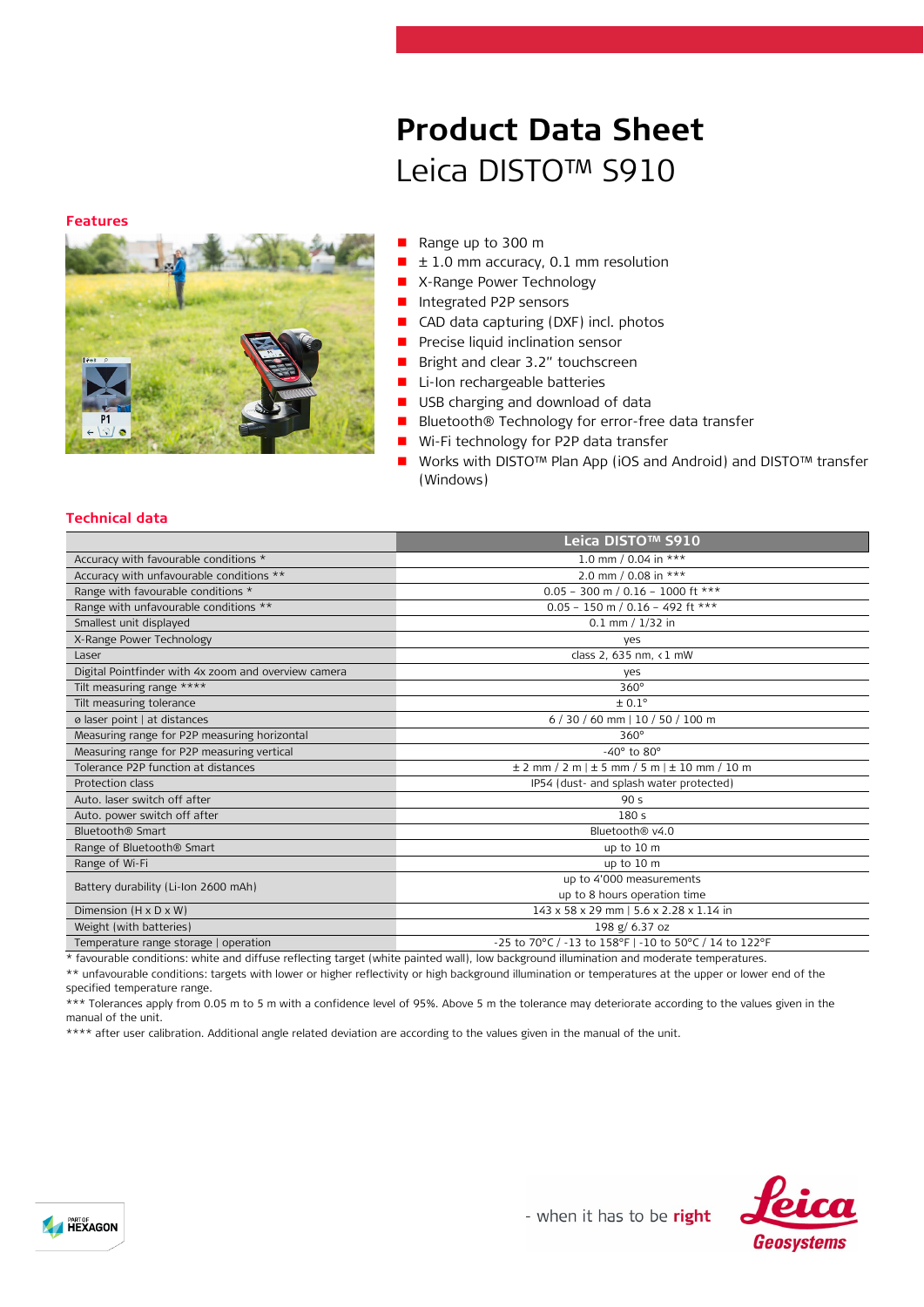#### **Features**



# Leica DISTO™ S910

**Product Data Sheet**

- Range up to 300 m
- ± 1.0 mm accuracy, 0.1 mm resolution
- **X-Range Power Technology**
- Integrated P2P sensors
- CAD data capturing (DXF) incl. photos
- Precise liquid inclination sensor
- **Bright and clear 3.2" touchscreen**
- Li-Ion rechargeable batteries
- USB charging and download of data
- Bluetooth® Technology for error-free data transfer
- Wi-Fi technology for P2P data transfer
- Works with DISTO<sup>™</sup> Plan App (iOS and Android) and DISTO<sup>™</sup> transfer (Windows)

## **Technical data**

|                                                      | Leica DISTO™ S910                                        |
|------------------------------------------------------|----------------------------------------------------------|
| Accuracy with favourable conditions *                | 1.0 mm / 0.04 in ***                                     |
| Accuracy with unfavourable conditions **             | 2.0 mm / 0.08 in ***                                     |
| Range with favourable conditions *                   | $0.05 - 300$ m / 0.16 - 1000 ft ***                      |
| Range with unfavourable conditions **                | $0.05 - 150$ m / $0.16 - 492$ ft ***                     |
| Smallest unit displayed                              | $0.1$ mm $/ 1/32$ in                                     |
| X-Range Power Technology                             | yes                                                      |
| Laser                                                | class 2, 635 nm, <1 mW                                   |
| Digital Pointfinder with 4x zoom and overview camera | yes                                                      |
| Tilt measuring range ****                            | $360^\circ$                                              |
| Tilt measuring tolerance                             | $\pm 0.1^\circ$                                          |
| ø laser point   at distances                         | 6 / 30 / 60 mm   10 / 50 / 100 m                         |
| Measuring range for P2P measuring horizontal         | $360^\circ$                                              |
| Measuring range for P2P measuring vertical           | $-40^\circ$ to $80^\circ$                                |
| Tolerance P2P function at distances                  | $\pm$ 2 mm / 2 m   $\pm$ 5 mm / 5 m   $\pm$ 10 mm / 10 m |
| Protection class                                     | IP54 (dust- and splash water protected)                  |
| Auto. laser switch off after                         | 90 <sub>s</sub>                                          |
| Auto. power switch off after                         | 180 <sub>s</sub>                                         |
| Bluetooth <sup>®</sup> Smart                         | Bluetooth <sup>®</sup> v4.0                              |
| Range of Bluetooth <sup>®</sup> Smart                | up to 10 m                                               |
| Range of Wi-Fi                                       | up to 10 m                                               |
| Battery durability (Li-Ion 2600 mAh)                 | up to 4'000 measurements                                 |
|                                                      | up to 8 hours operation time                             |
| Dimension $(H \times D \times W)$                    | 143 x 58 x 29 mm   5.6 x 2.28 x 1.14 in                  |
| Weight (with batteries)                              | 198 g/ 6.37 oz                                           |
| Temperature range storage   operation                | -25 to 70°C / -13 to 158°F   -10 to 50°C / 14 to 122°F   |

\* favourable conditions: white and diffuse reflecting target (white painted wall), low background illumination and moderate temperatures.

\*\* unfavourable conditions: targets with lower or higher reflectivity or high background illumination or temperatures at the upper or lower end of the specified temperature range.

\*\*\* Tolerances apply from 0.05 m to 5 m with a confidence level of 95%. Above 5 m the tolerance may deteriorate according to the values given in the manual of the unit.

\*\*\*\* after user calibration. Additional angle related deviation are according to the values given in the manual of the unit.